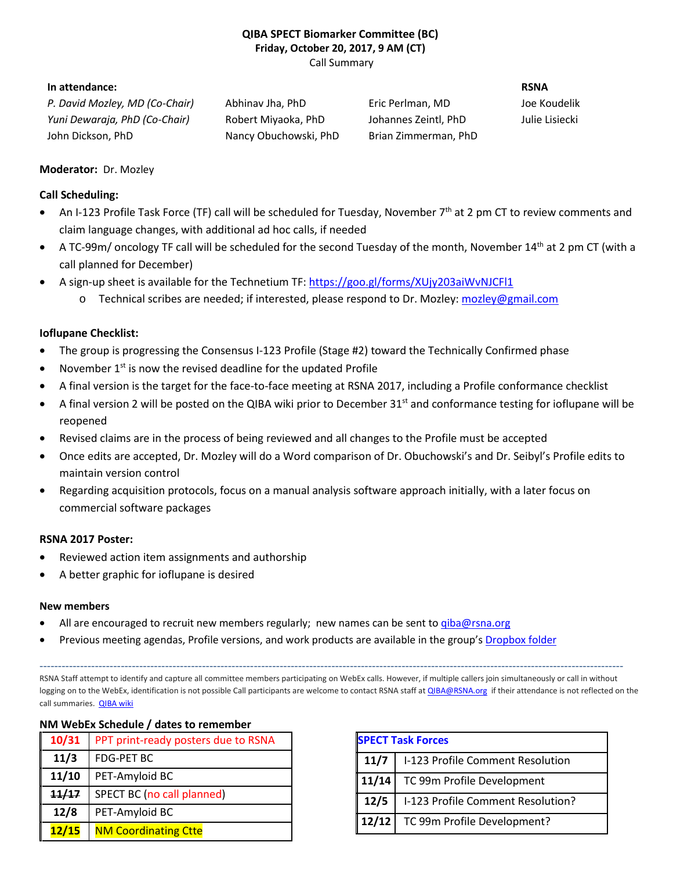# **QIBA SPECT Biomarker Committee (BC) Friday, October 20, 2017, 9 AM (CT)**

Call Summary

## **In attendance: RSNA**

*P. David Mozley, MD (Co-Chair)* Abhinav Jha, PhD Eric Perlman, MD Joe Koudelik *Yuni Dewaraja, PhD (Co-Chair)* Robert Miyaoka, PhD Johannes Zeintl, PhD Julie Lisiecki John Dickson, PhD Nancy Obuchowski, PhD Brian Zimmerman, PhD

## **Moderator:** Dr. Mozley

### **Call Scheduling:**

- An I-123 Profile Task Force (TF) call will be scheduled for Tuesday, November 7<sup>th</sup> at 2 pm CT to review comments and claim language changes, with additional ad hoc calls, if needed
- A TC-99m/ oncology TF call will be scheduled for the second Tuesday of the month, November 14th at 2 pm CT (with a call planned for December)
- A sign-up sheet is available for the Technetium TF:<https://goo.gl/forms/XUjy203aiWvNJCFl1>
	- Technical scribes are needed; if interested, please respond to Dr. Mozley: [mozley@gmail.com](mailto:mozley@gmail.com)

# **Ioflupane Checklist:**

- The group is progressing the Consensus I-123 Profile (Stage #2) toward the Technically Confirmed phase
- November 1<sup>st</sup> is now the revised deadline for the updated Profile
- A final version is the target for the face-to-face meeting at RSNA 2017, including a Profile conformance checklist
- A final version 2 will be posted on the QIBA wiki prior to December 31<sup>st</sup> and conformance testing for ioflupane will be reopened
- Revised claims are in the process of being reviewed and all changes to the Profile must be accepted
- Once edits are accepted, Dr. Mozley will do a Word comparison of Dr. Obuchowski's and Dr. Seibyl's Profile edits to maintain version control
- Regarding acquisition protocols, focus on a manual analysis software approach initially, with a later focus on commercial software packages

### **RSNA 2017 Poster:**

- Reviewed action item assignments and authorship
- A better graphic for ioflupane is desired

**NM WebEx Schedule / dates to remember**

### **New members**

- All are encouraged to recruit new members regularly; new names can be sent to giba@rsna.org
- Previous meeting agendas, Profile versions, and work products are available in the group's [Dropbox folder](https://www.dropbox.com/home/QIBA%20SPECT%20Profile)

--------------------------------------------------------------------------------------------------------------------------------------------------------------

RSNA Staff attempt to identify and capture all committee members participating on WebEx calls. However, if multiple callers join simultaneously or call in without logging on to the WebEx, identification is not possible Call participants are welcome to contact RSNA staff a[t QIBA@RSNA.org](mailto:QIBA@RSNA.org) if their attendance is not reflected on the call summaries. [QIBA wiki](http://qibawiki.rsna.org/index.php?title=Ultrasound_SWS_tech_ctte)

| <u>ivivi webex schedule / dates to remember</u> |                                     |
|-------------------------------------------------|-------------------------------------|
| 10/31                                           | PPT print-ready posters due to RSNA |
| 11/3                                            | <b>FDG-PET BC</b>                   |
| 11/10                                           | PET-Amyloid BC                      |
| 11/17                                           | SPECT BC (no call planned)          |
| 12/8                                            | PET-Amyloid BC                      |
| 12/15                                           | <b>NM Coordinating Ctte</b>         |

| <b>SPECT Task Forces</b> |                                   |
|--------------------------|-----------------------------------|
| 11/7                     | I-123 Profile Comment Resolution  |
| 11/14                    | TC 99m Profile Development        |
| $\ 12/5$                 | I-123 Profile Comment Resolution? |
| $\boxed{12/12}$          | TC 99m Profile Development?       |